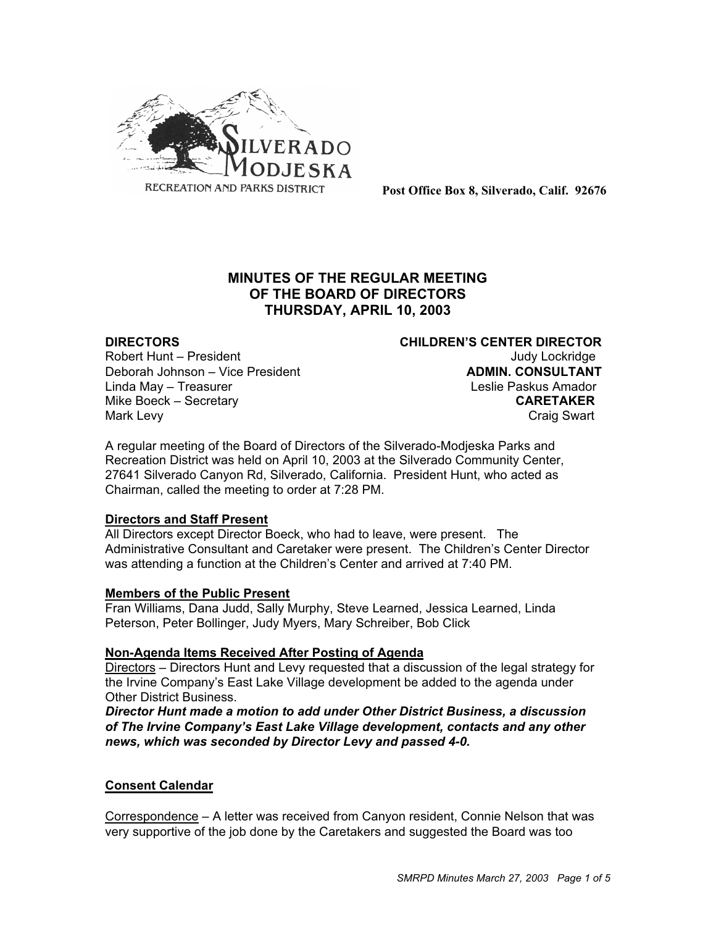

**Post Office Box 8, Silverado, Calif. 92676**

# **MINUTES OF THE REGULAR MEETING OF THE BOARD OF DIRECTORS THURSDAY, APRIL 10, 2003**

Robert Hunt – President Judy Lockridge Deborah Johnson – Vice President **ADMIN. CONSULTANT** Linda May – Treasurer Linda May – Treasurer Leslie Paskus Amador<br>Mike Boeck – Secretary Leslie Paskus Amador **Mike Boeck – Secretary** Mark Levy **Craig Swart** 

**DIRECTORS CHILDREN'S CENTER DIRECTOR**

A regular meeting of the Board of Directors of the Silverado-Modjeska Parks and Recreation District was held on April 10, 2003 at the Silverado Community Center, 27641 Silverado Canyon Rd, Silverado, California. President Hunt, who acted as Chairman, called the meeting to order at 7:28 PM.

## **Directors and Staff Present**

All Directors except Director Boeck, who had to leave, were present. The Administrative Consultant and Caretaker were present. The Children's Center Director was attending a function at the Children's Center and arrived at 7:40 PM.

## **Members of the Public Present**

Fran Williams, Dana Judd, Sally Murphy, Steve Learned, Jessica Learned, Linda Peterson, Peter Bollinger, Judy Myers, Mary Schreiber, Bob Click

## **Non-Agenda Items Received After Posting of Agenda**

Directors – Directors Hunt and Levy requested that a discussion of the legal strategy for the Irvine Company's East Lake Village development be added to the agenda under Other District Business.

*Director Hunt made a motion to add under Other District Business, a discussion of The Irvine Company's East Lake Village development, contacts and any other news, which was seconded by Director Levy and passed 4-0.*

## **Consent Calendar**

Correspondence – A letter was received from Canyon resident, Connie Nelson that was very supportive of the job done by the Caretakers and suggested the Board was too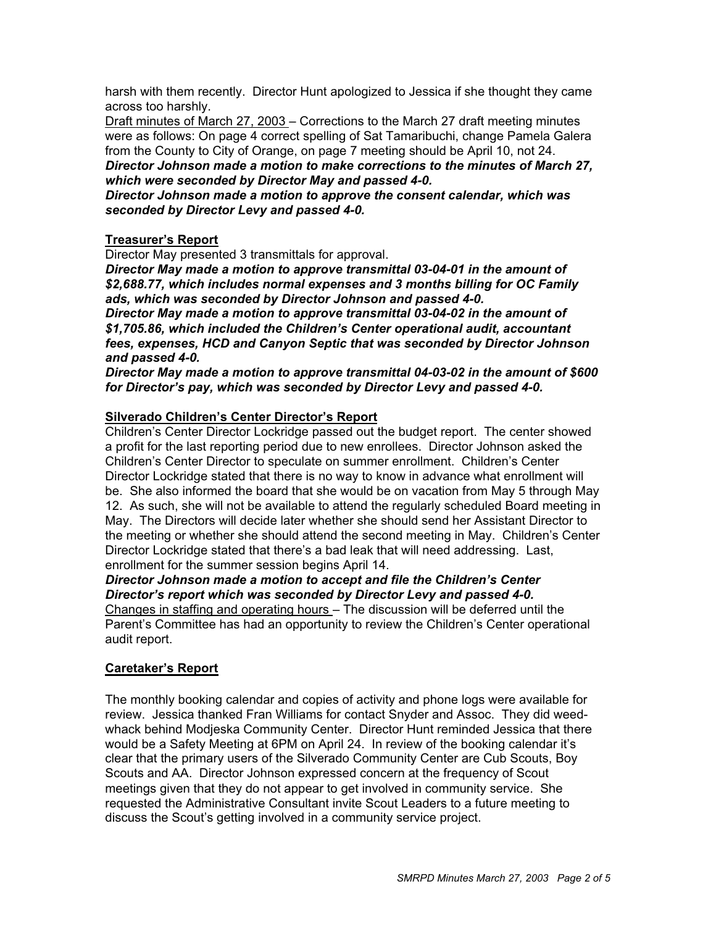harsh with them recently. Director Hunt apologized to Jessica if she thought they came across too harshly.

Draft minutes of March 27, 2003 – Corrections to the March 27 draft meeting minutes were as follows: On page 4 correct spelling of Sat Tamaribuchi, change Pamela Galera from the County to City of Orange, on page 7 meeting should be April 10, not 24.

*Director Johnson made a motion to make corrections to the minutes of March 27, which were seconded by Director May and passed 4-0.*

*Director Johnson made a motion to approve the consent calendar, which was seconded by Director Levy and passed 4-0.*

# **Treasurer's Report**

Director May presented 3 transmittals for approval.

*Director May made a motion to approve transmittal 03-04-01 in the amount of \$2,688.77, which includes normal expenses and 3 months billing for OC Family ads, which was seconded by Director Johnson and passed 4-0.*

*Director May made a motion to approve transmittal 03-04-02 in the amount of \$1,705.86, which included the Children's Center operational audit, accountant fees, expenses, HCD and Canyon Septic that was seconded by Director Johnson and passed 4-0.*

*Director May made a motion to approve transmittal 04-03-02 in the amount of \$600 for Director's pay, which was seconded by Director Levy and passed 4-0.*

# **Silverado Children's Center Director's Report**

Children's Center Director Lockridge passed out the budget report. The center showed a profit for the last reporting period due to new enrollees. Director Johnson asked the Children's Center Director to speculate on summer enrollment. Children's Center Director Lockridge stated that there is no way to know in advance what enrollment will be. She also informed the board that she would be on vacation from May 5 through May 12. As such, she will not be available to attend the regularly scheduled Board meeting in May. The Directors will decide later whether she should send her Assistant Director to the meeting or whether she should attend the second meeting in May. Children's Center Director Lockridge stated that there's a bad leak that will need addressing. Last, enrollment for the summer session begins April 14.

*Director Johnson made a motion to accept and file the Children's Center Director's report which was seconded by Director Levy and passed 4-0.* Changes in staffing and operating hours – The discussion will be deferred until the Parent's Committee has had an opportunity to review the Children's Center operational audit report.

# **Caretaker's Report**

The monthly booking calendar and copies of activity and phone logs were available for review. Jessica thanked Fran Williams for contact Snyder and Assoc. They did weedwhack behind Modjeska Community Center. Director Hunt reminded Jessica that there would be a Safety Meeting at 6PM on April 24. In review of the booking calendar it's clear that the primary users of the Silverado Community Center are Cub Scouts, Boy Scouts and AA. Director Johnson expressed concern at the frequency of Scout meetings given that they do not appear to get involved in community service. She requested the Administrative Consultant invite Scout Leaders to a future meeting to discuss the Scout's getting involved in a community service project.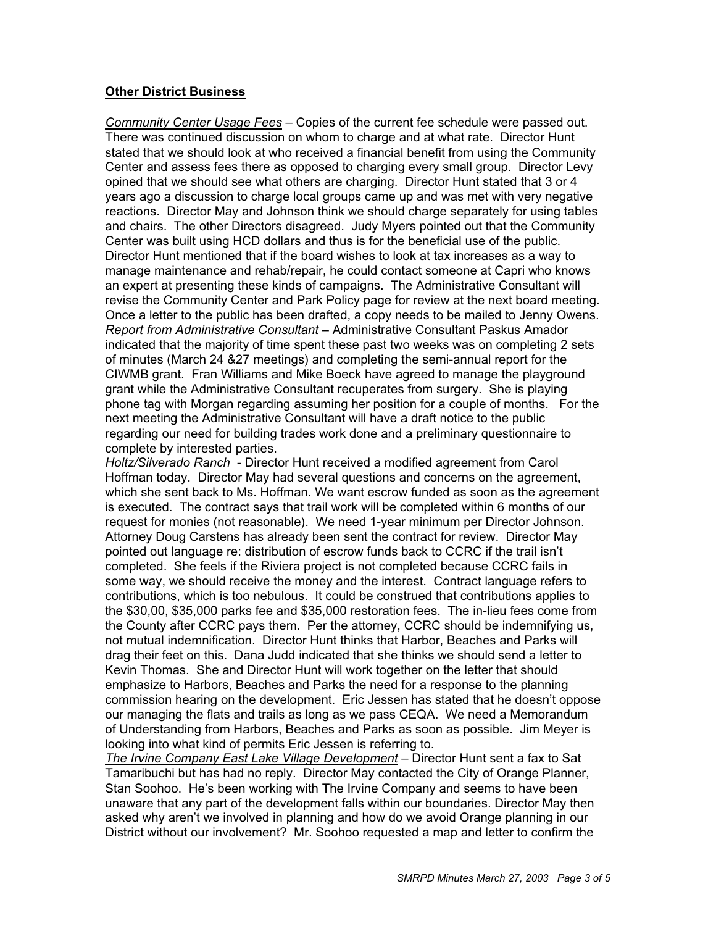# **Other District Business**

*Community Center Usage Fees* – Copies of the current fee schedule were passed out. There was continued discussion on whom to charge and at what rate. Director Hunt stated that we should look at who received a financial benefit from using the Community Center and assess fees there as opposed to charging every small group. Director Levy opined that we should see what others are charging. Director Hunt stated that 3 or 4 years ago a discussion to charge local groups came up and was met with very negative reactions. Director May and Johnson think we should charge separately for using tables and chairs. The other Directors disagreed. Judy Myers pointed out that the Community Center was built using HCD dollars and thus is for the beneficial use of the public. Director Hunt mentioned that if the board wishes to look at tax increases as a way to manage maintenance and rehab/repair, he could contact someone at Capri who knows an expert at presenting these kinds of campaigns. The Administrative Consultant will revise the Community Center and Park Policy page for review at the next board meeting. Once a letter to the public has been drafted, a copy needs to be mailed to Jenny Owens. *Report from Administrative Consultant* – Administrative Consultant Paskus Amador indicated that the majority of time spent these past two weeks was on completing 2 sets of minutes (March 24 &27 meetings) and completing the semi-annual report for the CIWMB grant. Fran Williams and Mike Boeck have agreed to manage the playground grant while the Administrative Consultant recuperates from surgery. She is playing phone tag with Morgan regarding assuming her position for a couple of months. For the next meeting the Administrative Consultant will have a draft notice to the public regarding our need for building trades work done and a preliminary questionnaire to complete by interested parties.

*Holtz/Silverado Ranch* - Director Hunt received a modified agreement from Carol Hoffman today. Director May had several questions and concerns on the agreement, which she sent back to Ms. Hoffman. We want escrow funded as soon as the agreement is executed. The contract says that trail work will be completed within 6 months of our request for monies (not reasonable). We need 1-year minimum per Director Johnson. Attorney Doug Carstens has already been sent the contract for review. Director May pointed out language re: distribution of escrow funds back to CCRC if the trail isn't completed. She feels if the Riviera project is not completed because CCRC fails in some way, we should receive the money and the interest. Contract language refers to contributions, which is too nebulous. It could be construed that contributions applies to the \$30,00, \$35,000 parks fee and \$35,000 restoration fees. The in-lieu fees come from the County after CCRC pays them. Per the attorney, CCRC should be indemnifying us, not mutual indemnification. Director Hunt thinks that Harbor, Beaches and Parks will drag their feet on this. Dana Judd indicated that she thinks we should send a letter to Kevin Thomas. She and Director Hunt will work together on the letter that should emphasize to Harbors, Beaches and Parks the need for a response to the planning commission hearing on the development. Eric Jessen has stated that he doesn't oppose our managing the flats and trails as long as we pass CEQA. We need a Memorandum of Understanding from Harbors, Beaches and Parks as soon as possible. Jim Meyer is looking into what kind of permits Eric Jessen is referring to.

*The Irvine Company East Lake Village Development* – Director Hunt sent a fax to Sat Tamaribuchi but has had no reply. Director May contacted the City of Orange Planner, Stan Soohoo. He's been working with The Irvine Company and seems to have been unaware that any part of the development falls within our boundaries. Director May then asked why aren't we involved in planning and how do we avoid Orange planning in our District without our involvement? Mr. Soohoo requested a map and letter to confirm the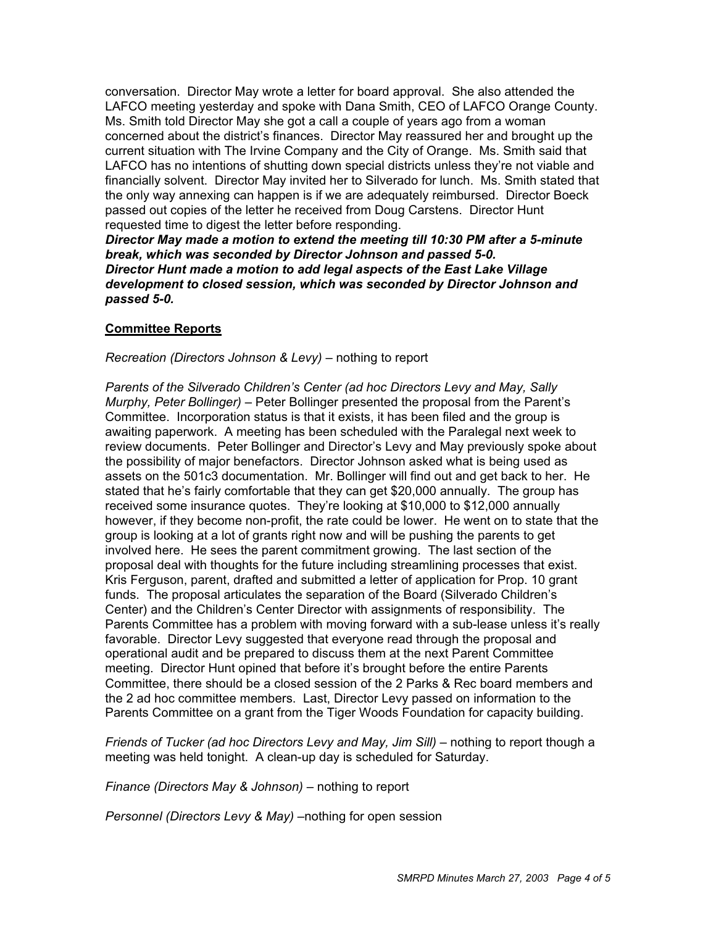conversation. Director May wrote a letter for board approval. She also attended the LAFCO meeting yesterday and spoke with Dana Smith, CEO of LAFCO Orange County. Ms. Smith told Director May she got a call a couple of years ago from a woman concerned about the district's finances. Director May reassured her and brought up the current situation with The Irvine Company and the City of Orange. Ms. Smith said that LAFCO has no intentions of shutting down special districts unless they're not viable and financially solvent. Director May invited her to Silverado for lunch. Ms. Smith stated that the only way annexing can happen is if we are adequately reimbursed. Director Boeck passed out copies of the letter he received from Doug Carstens. Director Hunt requested time to digest the letter before responding.

*Director May made a motion to extend the meeting till 10:30 PM after a 5-minute break, which was seconded by Director Johnson and passed 5-0. Director Hunt made a motion to add legal aspects of the East Lake Village development to closed session, which was seconded by Director Johnson and passed 5-0.*

## **Committee Reports**

*Recreation (Directors Johnson & Levy)* – nothing to report

*Parents of the Silverado Children's Center (ad hoc Directors Levy and May, Sally Murphy, Peter Bollinger)* – Peter Bollinger presented the proposal from the Parent's Committee. Incorporation status is that it exists, it has been filed and the group is awaiting paperwork. A meeting has been scheduled with the Paralegal next week to review documents. Peter Bollinger and Director's Levy and May previously spoke about the possibility of major benefactors. Director Johnson asked what is being used as assets on the 501c3 documentation. Mr. Bollinger will find out and get back to her. He stated that he's fairly comfortable that they can get \$20,000 annually. The group has received some insurance quotes. They're looking at \$10,000 to \$12,000 annually however, if they become non-profit, the rate could be lower. He went on to state that the group is looking at a lot of grants right now and will be pushing the parents to get involved here. He sees the parent commitment growing. The last section of the proposal deal with thoughts for the future including streamlining processes that exist. Kris Ferguson, parent, drafted and submitted a letter of application for Prop. 10 grant funds. The proposal articulates the separation of the Board (Silverado Children's Center) and the Children's Center Director with assignments of responsibility. The Parents Committee has a problem with moving forward with a sub-lease unless it's really favorable. Director Levy suggested that everyone read through the proposal and operational audit and be prepared to discuss them at the next Parent Committee meeting. Director Hunt opined that before it's brought before the entire Parents Committee, there should be a closed session of the 2 Parks & Rec board members and the 2 ad hoc committee members. Last, Director Levy passed on information to the Parents Committee on a grant from the Tiger Woods Foundation for capacity building.

*Friends of Tucker (ad hoc Directors Levy and May, Jim Sill) –* nothing to report though a meeting was held tonight. A clean-up day is scheduled for Saturday.

*Finance (Directors May & Johnson)* – nothing to report

*Personnel (Directors Levy & May) –*nothing for open session